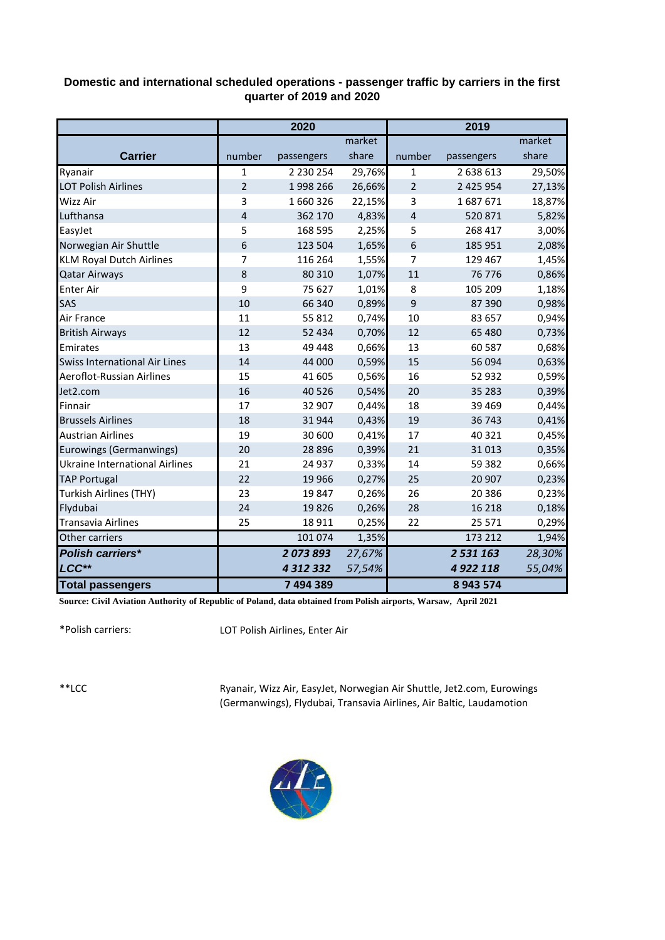## **Domestic and international scheduled operations - passenger traffic by carriers in the first quarter of 2019 and 2020**

|                                       | 2020           |               |        | 2019           |               |        |  |
|---------------------------------------|----------------|---------------|--------|----------------|---------------|--------|--|
|                                       |                |               | market |                |               | market |  |
| <b>Carrier</b>                        | number         | passengers    | share  | number         | passengers    | share  |  |
| Ryanair                               | $\mathbf{1}$   | 2 230 254     | 29,76% | $\mathbf{1}$   | 2 638 613     | 29,50% |  |
| <b>LOT Polish Airlines</b>            | $\overline{2}$ | 1998 266      | 26,66% | $\overline{2}$ | 2 4 2 5 9 5 4 | 27,13% |  |
| Wizz Air                              | 3              | 1660326       | 22,15% | 3              | 1687671       | 18,87% |  |
| Lufthansa                             | $\overline{4}$ | 362 170       | 4,83%  | 4              | 520 871       | 5,82%  |  |
| EasyJet                               | 5              | 168 595       | 2,25%  | 5              | 268 417       | 3,00%  |  |
| Norwegian Air Shuttle                 | 6              | 123 504       | 1,65%  | 6              | 185 951       | 2,08%  |  |
| <b>KLM Royal Dutch Airlines</b>       | 7              | 116 264       | 1,55%  | 7              | 129 467       | 1,45%  |  |
| <b>Qatar Airways</b>                  | 8              | 80 310        | 1,07%  | 11             | 76 776        | 0,86%  |  |
| <b>Enter Air</b>                      | 9              | 75 627        | 1,01%  | 8              | 105 209       | 1,18%  |  |
| <b>SAS</b>                            | 10             | 66 340        | 0,89%  | 9              | 87 390        | 0,98%  |  |
| Air France                            | 11             | 55 812        | 0,74%  | 10             | 83 657        | 0,94%  |  |
| <b>British Airways</b>                | 12             | 52 434        | 0,70%  | 12             | 65 480        | 0,73%  |  |
| Emirates                              | 13             | 49 448        | 0,66%  | 13             | 60 587        | 0,68%  |  |
| <b>Swiss International Air Lines</b>  | 14             | 44 000        | 0,59%  | 15             | 56 094        | 0,63%  |  |
| Aeroflot-Russian Airlines             | 15             | 41 605        | 0,56%  | 16             | 52 932        | 0,59%  |  |
| Jet2.com                              | 16             | 40 5 26       | 0,54%  | 20             | 35 283        | 0,39%  |  |
| Finnair                               | 17             | 32 907        | 0,44%  | 18             | 39 4 69       | 0,44%  |  |
| <b>Brussels Airlines</b>              | 18             | 31944         | 0,43%  | 19             | 36 743        | 0,41%  |  |
| <b>Austrian Airlines</b>              | 19             | 30 600        | 0,41%  | 17             | 40 321        | 0,45%  |  |
| Eurowings (Germanwings)               | 20             | 28 8 96       | 0,39%  | 21             | 31 013        | 0,35%  |  |
| <b>Ukraine International Airlines</b> | 21             | 24 937        | 0,33%  | 14             | 59 382        | 0,66%  |  |
| <b>TAP Portugal</b>                   | 22             | 19 9 66       | 0,27%  | 25             | 20 907        | 0,23%  |  |
| Turkish Airlines (THY)                | 23             | 19847         | 0,26%  | 26             | 20 38 6       | 0,23%  |  |
| Flydubai                              | 24             | 19826         | 0,26%  | 28             | 16 218        | 0,18%  |  |
| <b>Transavia Airlines</b>             | 25             | 18 911        | 0,25%  | 22             | 25 571        | 0,29%  |  |
| Other carriers                        |                | 101 074       | 1,35%  |                | 173 212       | 1,94%  |  |
| <b>Polish carriers*</b>               |                | 2073893       | 27,67% |                | 2 531 163     | 28,30% |  |
| LCC**                                 |                | 4 3 1 2 3 3 2 | 57,54% |                | 4 9 22 118    | 55,04% |  |
| <b>Total passengers</b>               |                | 7 494 389     |        |                | 8 943 574     |        |  |

**Source: Civil Aviation Authority of Republic of Poland, data obtained from Polish airports, Warsaw, April 2021**

\*Polish carriers:

LOT Polish Airlines, Enter Air

\*\*LCC

Ryanair, Wizz Air, EasyJet, Norwegian Air Shuttle, Jet2.com, Eurowings (Germanwings), Flydubai, Transavia Airlines, Air Baltic, Laudamotion